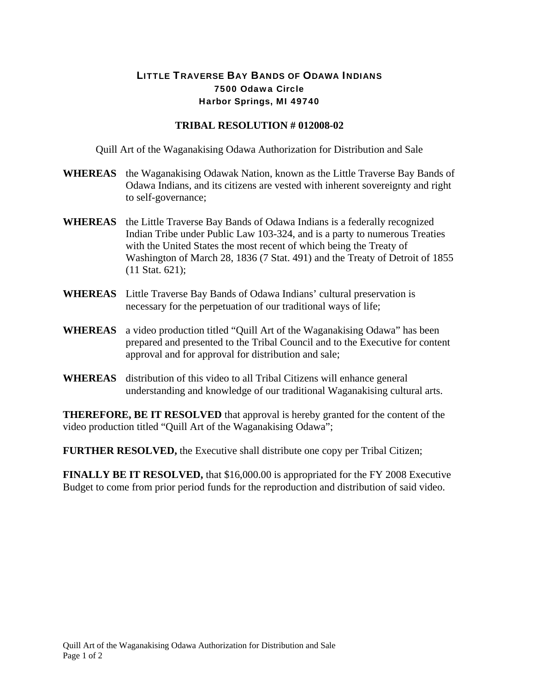## LITTLE TRAVERSE BAY BANDS OF ODAWA INDIANS 7500 Odawa Circle Harbor Springs, MI 49740

## **TRIBAL RESOLUTION # 012008-02**

Quill Art of the Waganakising Odawa Authorization for Distribution and Sale

- **WHEREAS** the Waganakising Odawak Nation, known as the Little Traverse Bay Bands of Odawa Indians, and its citizens are vested with inherent sovereignty and right to self-governance;
- **WHEREAS** the Little Traverse Bay Bands of Odawa Indians is a federally recognized Indian Tribe under Public Law 103-324, and is a party to numerous Treaties with the United States the most recent of which being the Treaty of Washington of March 28, 1836 (7 Stat. 491) and the Treaty of Detroit of 1855 (11 Stat. 621);
- **WHEREAS** Little Traverse Bay Bands of Odawa Indians' cultural preservation is necessary for the perpetuation of our traditional ways of life;
- **WHEREAS** a video production titled "Quill Art of the Waganakising Odawa" has been prepared and presented to the Tribal Council and to the Executive for content approval and for approval for distribution and sale;
- **WHEREAS** distribution of this video to all Tribal Citizens will enhance general understanding and knowledge of our traditional Waganakising cultural arts.

**THEREFORE, BE IT RESOLVED** that approval is hereby granted for the content of the video production titled "Quill Art of the Waganakising Odawa";

**FURTHER RESOLVED,** the Executive shall distribute one copy per Tribal Citizen;

**FINALLY BE IT RESOLVED,** that \$16,000.00 is appropriated for the FY 2008 Executive Budget to come from prior period funds for the reproduction and distribution of said video.